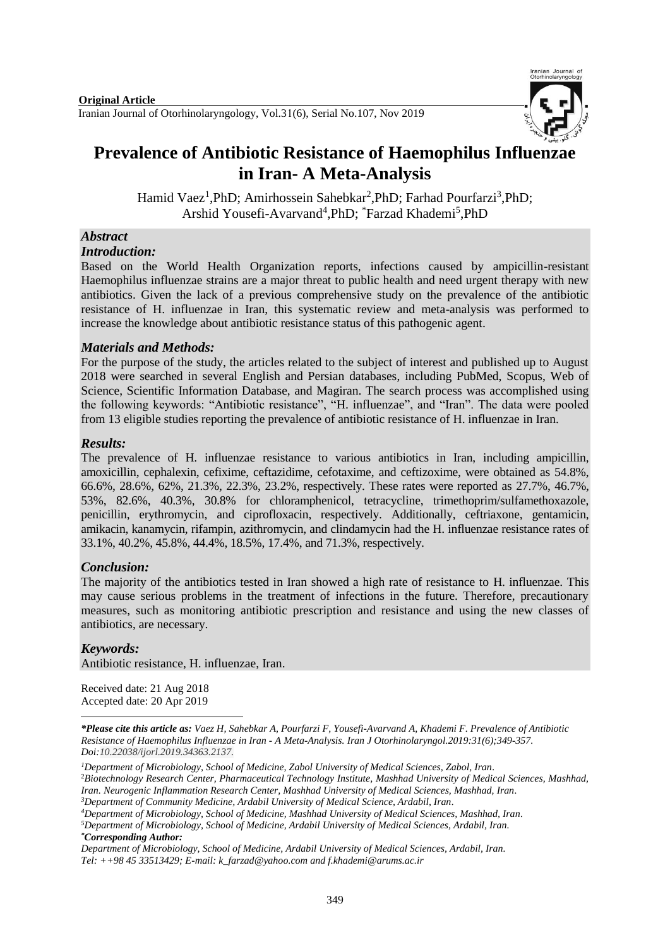

# **Prevalence of Antibiotic Resistance of Haemophilus Influenzae in Iran- A Meta-Analysis**

Hamid Vaez<sup>1</sup>, PhD; Amirhossein Sahebkar<sup>2</sup>, PhD; Farhad Pourfarzi<sup>3</sup>, PhD; Arshid Yousefi-Avarvand<sup>4</sup>, PhD; <sup>\*</sup>Farzad Khademi<sup>5</sup>, PhD

# *Abstract*

#### *Introduction:*

Based on the World Health Organization reports, infections caused by ampicillin-resistant Haemophilus influenzae strains are a major threat to public health and need urgent therapy with new antibiotics. Given the lack of a previous comprehensive study on the prevalence of the antibiotic resistance of H. influenzae in Iran, this systematic review and meta-analysis was performed to increase the knowledge about antibiotic resistance status of this pathogenic agent.

# *Materials and Methods:*

For the purpose of the study, the articles related to the subject of interest and published up to August 2018 were searched in several English and Persian databases, including PubMed, Scopus, Web of Science, Scientific Information Database, and Magiran. The search process was accomplished using the following keywords: "Antibiotic resistance", "H. influenzae", and "Iran". The data were pooled from 13 eligible studies reporting the prevalence of antibiotic resistance of H. influenzae in Iran.

## *Results:*

The prevalence of H. influenzae resistance to various antibiotics in Iran, including ampicillin, amoxicillin, cephalexin, cefixime, ceftazidime, cefotaxime, and ceftizoxime, were obtained as 54.8%, 66.6%, 28.6%, 62%, 21.3%, 22.3%, 23.2%, respectively. These rates were reported as 27.7%, 46.7%, 53%, 82.6%, 40.3%, 30.8% for chloramphenicol, tetracycline, trimethoprim/sulfamethoxazole, penicillin, erythromycin, and ciprofloxacin, respectively. Additionally, ceftriaxone, gentamicin, amikacin, kanamycin, rifampin, azithromycin, and clindamycin had the H. influenzae resistance rates of 33.1%, 40.2%, 45.8%, 44.4%, 18.5%, 17.4%, and 71.3%, respectively.

# *Conclusion:*

The majority of the antibiotics tested in Iran showed a high rate of resistance to H. influenzae. This may cause serious problems in the treatment of infections in the future. Therefore, precautionary measures, such as monitoring antibiotic prescription and resistance and using the new classes of antibiotics, are necessary.

# *Keywords:*

Antibiotic resistance, H. influenzae, Iran.

Received date: 21 Aug 2018 Accepted date: 20 Apr 2019

**<sup>.</sup>** *\*Please cite this article as: Vaez H, Sahebkar A, Pourfarzi F, Yousefi-Avarvand A, Khademi F. Prevalence of Antibiotic Resistance of Haemophilus Influenzae in Iran - A Meta-Analysis. [Iran J Otorhinolaryngol.2](https://www.ncbi.nlm.nih.gov/pubmed/?term=Tri-layer+Tympanoplasty+as+a+New+Technique+in+High-risk+Tympanic+Membrane+Perforations)019:31(6);349-357. Doi:10.22038/ijorl.2019.34363.2137.*

*<sup>1</sup>Department of Microbiology, School of Medicine, Zabol University of Medical Sciences, Zabol, Iran.* <sup>2</sup>*Biotechnology Research Center, Pharmaceutical Technology Institute, Mashhad University of Medical Sciences, Mashhad, Iran. Neurogenic Inflammation Research Center, Mashhad University of Medical Sciences, Mashhad, Iran. <sup>3</sup>Department of Community Medicine, Ardabil University of Medical Science, Ardabil, Iran.*

*<sup>4</sup>Department of Microbiology, School of Medicine, Mashhad University of Medical Sciences, Mashhad, Iran.*

*<sup>5</sup>Department of Microbiology, School of Medicine, Ardabil University of Medical Sciences, Ardabil, Iran. \*Corresponding Author:*

*Department of Microbiology, School of Medicine, Ardabil University of Medical Sciences, Ardabil, Iran. Tel: ++98 45 33513429; E-mail[: k\\_farzad@yahoo.com](mailto:k_farzad@yahoo.com) and [f.khademi@arums.ac.ir](mailto:f.khademi@arums.ac.ir)*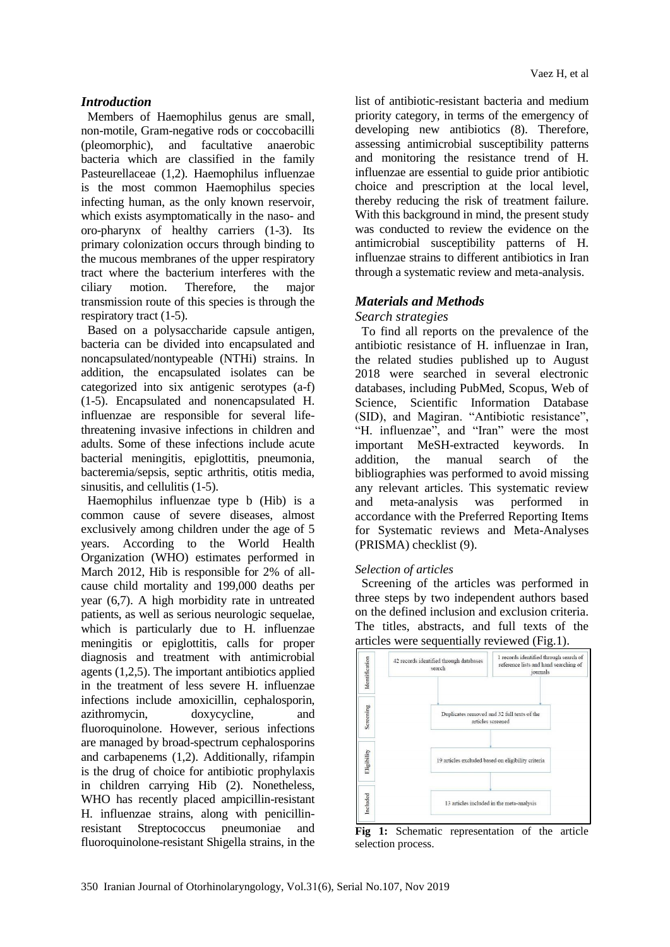#### *Introduction*

Members of Haemophilus genus are small, non-motile, Gram-negative rods or coccobacilli (pleomorphic), and facultative anaerobic bacteria which are classified in the family Pasteurellaceae (1,2). Haemophilus influenzae is the most common Haemophilus species infecting human, as the only known reservoir, which exists asymptomatically in the naso- and oro-pharynx of healthy carriers (1-3). Its primary colonization occurs through binding to the mucous membranes of the upper respiratory tract where the bacterium interferes with the ciliary motion. Therefore, the major transmission route of this species is through the respiratory tract (1-5).

Based on a polysaccharide capsule antigen, bacteria can be divided into encapsulated and noncapsulated/nontypeable (NTHi) strains. In addition, the encapsulated isolates can be categorized into six antigenic serotypes (a-f) (1-5). Encapsulated and nonencapsulated H. influenzae are responsible for several lifethreatening invasive infections in children and adults. Some of these infections include acute bacterial meningitis, epiglottitis, pneumonia, bacteremia/sepsis, septic arthritis, otitis media, sinusitis, and cellulitis (1-5).

Haemophilus influenzae type b (Hib) is a common cause of severe diseases, almost exclusively among children under the age of 5 years. According to the World Health Organization (WHO) estimates performed in March 2012, Hib is responsible for 2% of allcause child mortality and 199,000 deaths per year (6,7). A high morbidity rate in untreated patients, as well as serious neurologic sequelae, which is particularly due to H. influenzae meningitis or epiglottitis, calls for proper diagnosis and treatment with antimicrobial agents (1,2,5). The important antibiotics applied in the treatment of less severe H. influenzae infections include amoxicillin, cephalosporin, azithromycin, doxycycline, and fluoroquinolone. However, serious infections are managed by broad-spectrum cephalosporins and carbapenems (1,2). Additionally, rifampin is the drug of choice for antibiotic prophylaxis in children carrying Hib (2). Nonetheless, WHO has recently placed ampicillin-resistant H. influenzae strains, along with penicillinresistant Streptococcus pneumoniae and fluoroquinolone-resistant Shigella strains, in the

list of antibiotic-resistant bacteria and medium priority category, in terms of the emergency of developing new antibiotics (8). Therefore, assessing antimicrobial susceptibility patterns and monitoring the resistance trend of H. influenzae are essential to guide prior antibiotic choice and prescription at the local level, thereby reducing the risk of treatment failure. With this background in mind, the present study was conducted to review the evidence on the antimicrobial susceptibility patterns of H. influenzae strains to different antibiotics in Iran through a systematic review and meta-analysis.

## *Materials and Methods*

#### *Search strategies*

To find all reports on the prevalence of the antibiotic resistance of H. influenzae in Iran, the related studies published up to August 2018 were searched in several electronic databases, including PubMed, Scopus, Web of Science, Scientific Information Database (SID), and Magiran. "Antibiotic resistance", "H. influenzae", and "Iran" were the most important MeSH-extracted keywords. In addition, the manual search of the bibliographies was performed to avoid missing any relevant articles. This systematic review and meta-analysis was performed in accordance with the Preferred Reporting Items for Systematic reviews and Meta-Analyses (PRISMA) checklist (9).

## *Selection of articles*

Screening of the articles was performed in three steps by two independent authors based on the defined inclusion and exclusion criteria. The titles, abstracts, and full texts of the articles were sequentially reviewed (Fig.1).



**Fig 1:** Schematic representation of the article selection process.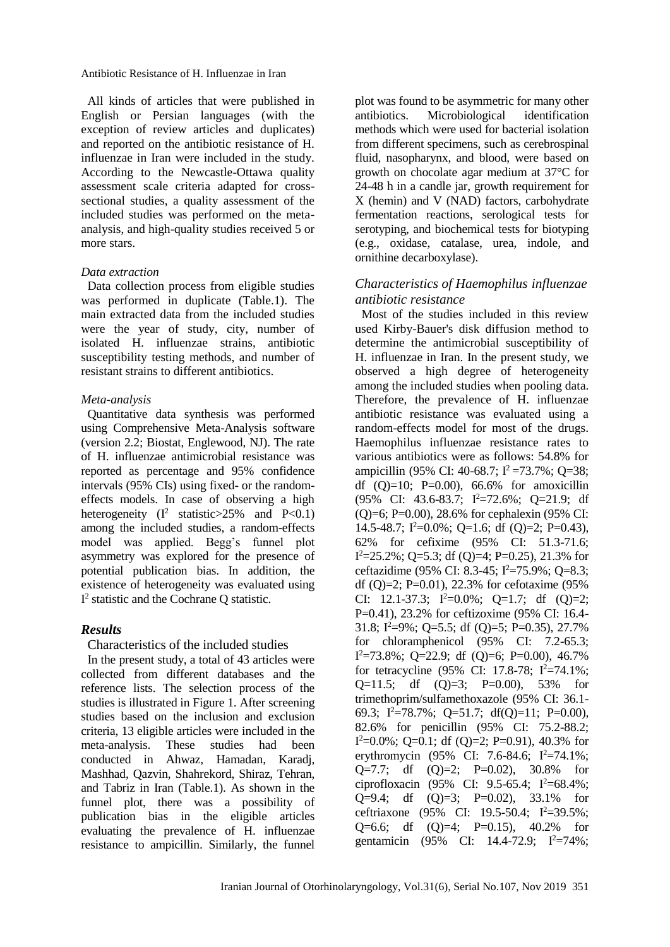Antibiotic Resistance of H. Influenzae in Iran

All kinds of articles that were published in English or Persian languages (with the exception of review articles and duplicates) and reported on the antibiotic resistance of H. influenzae in Iran were included in the study. According to the Newcastle-Ottawa quality assessment scale criteria adapted for crosssectional studies, a quality assessment of the included studies was performed on the metaanalysis, and high-quality studies received 5 or more stars.

#### *Data extraction*

Data collection process from eligible studies was performed in duplicate (Table.1). The main extracted data from the included studies were the year of study, city, number of isolated H. influenzae strains, antibiotic susceptibility testing methods, and number of resistant strains to different antibiotics.

#### *Meta-analysis*

Quantitative data synthesis was performed using Comprehensive Meta-Analysis software (version 2.2; Biostat, Englewood, NJ). The rate of H. influenzae antimicrobial resistance was reported as percentage and 95% confidence intervals (95% CIs) using fixed- or the randomeffects models. In case of observing a high heterogeneity  $(I^2 \text{ statistic} > 25\% \text{ and } P < 0.1)$ among the included studies, a random-effects model was applied. Begg's funnel plot asymmetry was explored for the presence of potential publication bias. In addition, the existence of heterogeneity was evaluated using I 2 statistic and the Cochrane Q statistic.

#### *Results*

Characteristics of the included studies

In the present study, a total of 43 articles were collected from different databases and the reference lists. The selection process of the studies is illustrated in Figure 1. After screening studies based on the inclusion and exclusion criteria, 13 eligible articles were included in the meta-analysis. These studies had been conducted in Ahwaz, Hamadan, Karadj, Mashhad, Qazvin, Shahrekord, Shiraz, Tehran, and Tabriz in Iran (Table.1). As shown in the funnel plot, there was a possibility of publication bias in the eligible articles evaluating the prevalence of H. influenzae resistance to ampicillin. Similarly, the funnel

plot was found to be asymmetric for many other antibiotics. Microbiological identification methods which were used for bacterial isolation from different specimens, such as cerebrospinal fluid, nasopharynx, and blood, were based on growth on chocolate agar medium at 37°C for 24-48 h in a candle jar, growth requirement for X (hemin) and V (NAD) factors, carbohydrate fermentation reactions, serological tests for serotyping, and biochemical tests for biotyping (e.g., oxidase, catalase, urea, indole, and ornithine decarboxylase).

## *Characteristics of Haemophilus influenzae antibiotic resistance*

Most of the studies included in this review used Kirby-Bauer's disk diffusion method to determine the antimicrobial susceptibility of H. influenzae in Iran. In the present study, we observed a high degree of heterogeneity among the included studies when pooling data. Therefore, the prevalence of H. influenzae antibiotic resistance was evaluated using a random-effects model for most of the drugs. Haemophilus influenzae resistance rates to various antibiotics were as follows: 54.8% for ampicillin (95% CI: 40-68.7;  $I^2 = 73.7\%$ ; Q=38; df  $(Q)=10$ ; P=0.00), 66.6% for amoxicillin  $(95\% \text{ CI: } 43.6-83.7; \text{ I}^2=72.6\%; \text{ O}=21.9; \text{ df}$ (Q)=6; P=0.00), 28.6% for cephalexin (95% CI: 14.5-48.7;  $I^2=0.0\%$ ; O=1.6; df (O)=2; P=0.43), 62% for cefixime (95% CI: 51.3-71.6;  $I^2=25.2\%$ ; Q=5.3; df (Q)=4; P=0.25), 21.3% for ceftazidime (95% CI: 8.3-45;  $I^2 = 75.9\%$ ; Q=8.3; df (Q)=2; P=0.01), 22.3% for cefotaxime  $(95\%$ CI: 12.1-37.3;  $I^2=0.0\%$ ; O=1.7; df (O)=2; P=0.41), 23.2% for ceftizoxime (95% CI: 16.4- 31.8;  $I^2=9\%$ ; Q=5.5; df (Q)=5; P=0.35), 27.7% for chloramphenicol (95% CI: 7.2-65.3;  $I^2=73.8\%$ ; Q=22.9; df (Q)=6; P=0.00), 46.7% for tetracycline (95% CI: 17.8-78;  $I^2 = 74.1\%$ ;  $Q=11.5$ ; df  $(Q)=3$ ;  $P=0.00$ ), 53% for trimethoprim/sulfamethoxazole (95% CI: 36.1- 69.3;  $I^2=78.7\%$ ; Q=51.7; df(Q)=11; P=0.00), 82.6% for penicillin (95% CI: 75.2-88.2;  $I^2=0.0\%$ ; Q=0.1; df (Q)=2; P=0.91), 40.3% for erythromycin (95% CI: 7.6-84.6;  $I^2 = 74.1\%$ ;  $Q=7.7$ ; df  $(Q)=2$ ; P=0.02), 30.8% for ciprofloxacin (95% CI: 9.5-65.4;  $I^2=68.4\%$ ;  $Q=9.4$ ; df  $(Q)=3$ ;  $P=0.02$ ), 33.1% for ceftriaxone (95% CI: 19.5-50.4;  $I^2=39.5\%$ :  $Q=6.6$ ; df  $(Q)=4$ ; P=0.15), 40.2% for gentamicin (95% CI: 14.4-72.9;  $I^2=74\%$ ;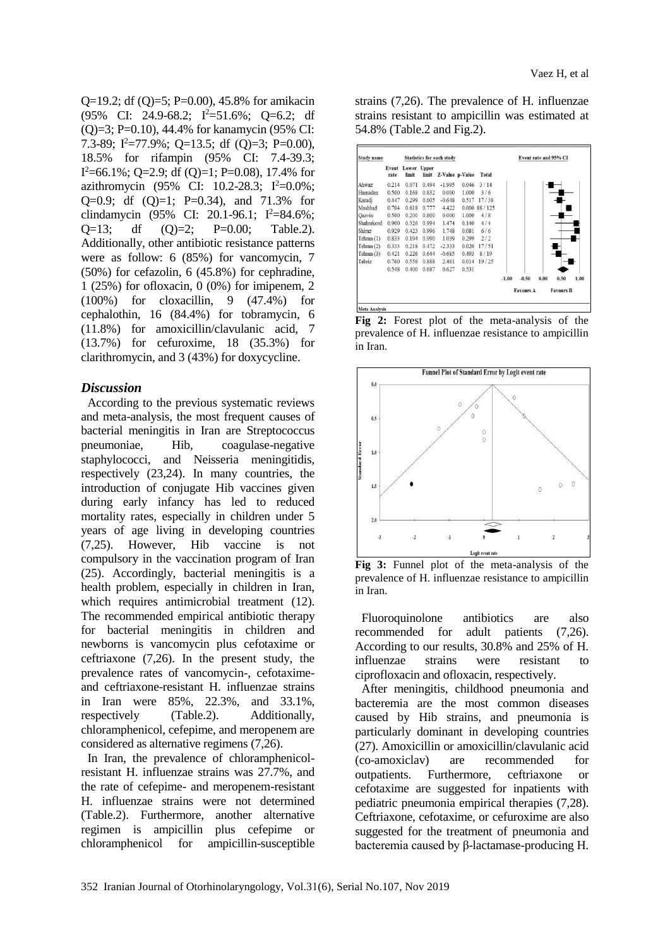Q=19.2; df (Q)=5; P=0.00), 45.8% for amikacin  $(95\% \text{ CI: } 24.9\text{-}68.2; \text{ I}^2 = 51.6\%; \text{ Q} = 6.2; \text{ df}$ (Q)=3; P=0.10), 44.4% for kanamycin (95% CI: 7.3-89;  $I^2=77.9\%$ ; O=13.5; df (O)=3; P=0.00), 18.5% for rifampin (95% CI: 7.4-39.3;  $I^2=66.1\%$ ; Q=2.9; df (Q)=1; P=0.08), 17.4% for azithromycin (95% CI: 10.2-28.3;  $I^2=0.0\%$ ; Q=0.9; df  $(Q)=1$ ; P=0.34), and 71.3% for clindamycin (95% CI: 20.1-96.1; I<sup>2</sup>=84.6%;  $Q=13$ ; df  $(Q)=2$ ;  $P=0.00$ ; Table.2). Additionally, other antibiotic resistance patterns were as follow: 6 (85%) for vancomycin, 7 (50%) for cefazolin, 6 (45.8%) for cephradine, 1 (25%) for ofloxacin, 0 (0%) for imipenem, 2 (100%) for cloxacillin, 9 (47.4%) for cephalothin, 16 (84.4%) for tobramycin, 6 (11.8%) for amoxicillin/clavulanic acid, 7 (13.7%) for cefuroxime, 18 (35.3%) for clarithromycin, and 3 (43%) for doxycycline.

#### *Discussion*

According to the previous systematic reviews and meta-analysis, the most frequent causes of bacterial meningitis in Iran are Streptococcus pneumoniae, Hib, coagulase-negative staphylococci, and Neisseria meningitidis, respectively (23,24). In many countries, the introduction of conjugate Hib vaccines given during early infancy has led to reduced mortality rates, especially in children under 5 years of age living in developing countries (7,25). However, Hib vaccine is not compulsory in the vaccination program of Iran (25). Accordingly, bacterial meningitis is a health problem, especially in children in Iran, which requires antimicrobial treatment (12). The recommended empirical antibiotic therapy for bacterial meningitis in children and newborns is vancomycin plus cefotaxime or ceftriaxone (7,26). In the present study, the prevalence rates of vancomycin-, cefotaximeand ceftriaxone-resistant H. influenzae strains in Iran were 85%, 22.3%, and 33.1%, respectively (Table.2). Additionally, chloramphenicol, cefepime, and meropenem are considered as alternative regimens (7,26).

In Iran, the prevalence of chloramphenicolresistant H. influenzae strains was 27.7%, and the rate of cefepime- and meropenem-resistant H. influenzae strains were not determined (Table.2). Furthermore, another alternative regimen is ampicillin plus cefepime or chloramphenicol for ampicillin-susceptible

strains (7,26). The prevalence of H. influenzae strains resistant to ampicillin was estimated at 54.8% (Table.2 and Fig.2).

| <b>Study name</b> |               |                      |       | <b>Statistics for each study</b> |                 |        |         | Event rate and 95% CI |      |                  |      |  |  |  |
|-------------------|---------------|----------------------|-------|----------------------------------|-----------------|--------|---------|-----------------------|------|------------------|------|--|--|--|
|                   | Event<br>rate | Lower Upper<br>limit | limit |                                  | Z-Value p-Value | Total  |         |                       |      |                  |      |  |  |  |
| Ahwaz             | 0.214         | 0.071                | 0.494 | $-1.995$                         | 0.046           | 3/14   |         |                       |      |                  |      |  |  |  |
| Hamadan           | 0.500         | 0.168                | 0.832 | 0.000                            | 1.000           | 3/6    |         |                       |      |                  |      |  |  |  |
| Karadj            | 0.447         | 0.299                | 0.605 | $-0.648$                         | 0.517           | 17/38  |         |                       |      |                  |      |  |  |  |
| Mashhad           | 0.704         | 0.618                | 0.777 | 4.422                            | 0.000           | 88/125 |         |                       |      |                  |      |  |  |  |
| Qazvin            | 0.500         | 0.200                | 0.800 | 0.000                            | 1.000           | 4/8    |         |                       |      |                  |      |  |  |  |
| Shahrekord        | 0.900         | 0.326                | 0.994 | 1.474                            | 0.140           | 4/4    |         |                       |      |                  |      |  |  |  |
| Shiraz            | 0.929         | 0.423                | 0.996 | 1.748                            | 0.081           | 6/6    |         |                       |      |                  |      |  |  |  |
| Tehran(1)         | 0.833         | 0.194                | 0.990 | 1.039                            | 0.299           | 2/2    |         |                       |      |                  |      |  |  |  |
| Tehran $(2)$      | 0.333         | 0.218                | 0.472 | $-2.333$                         | 0.020           | 17/51  |         |                       |      |                  |      |  |  |  |
| Tehran $(3)$      | 0.421         | 0.226                | 0.644 | $-0.685$                         | 0.493           | 8/19   |         |                       |      |                  |      |  |  |  |
| Tabriz            | 0.760         | 0.558                | 0.888 | 2.461                            | 0.014           | 19/25  |         |                       |      |                  |      |  |  |  |
|                   | 0.548         | 0.400                | 0.687 | 0.627                            | 0.531           |        |         |                       |      |                  |      |  |  |  |
|                   |               |                      |       |                                  |                 |        | $-1.00$ | $-0.50$               | 0.00 | 0.50             | 1.00 |  |  |  |
|                   |               |                      |       |                                  |                 |        |         | <b>Favours A</b>      |      | <b>Favours B</b> |      |  |  |  |

**Fig 2:** Forest plot of the meta-analysis of the prevalence of H. influenzae resistance to ampicillin in Iran.



**Fig 3:** Funnel plot of the meta-analysis of the prevalence of H. influenzae resistance to ampicillin in Iran.

Fluoroquinolone antibiotics are also recommended for adult patients (7,26). According to our results, 30.8% and 25% of H. influenzae strains were resistant to ciprofloxacin and ofloxacin, respectively.

After meningitis, childhood pneumonia and bacteremia are the most common diseases caused by Hib strains, and pneumonia is particularly dominant in developing countries (27). Amoxicillin or amoxicillin/clavulanic acid (co-amoxiclav) are recommended for outpatients. Furthermore, ceftriaxone or cefotaxime are suggested for inpatients with pediatric pneumonia empirical therapies (7,28). Ceftriaxone, cefotaxime, or cefuroxime are also suggested for the treatment of pneumonia and bacteremia caused by β-lactamase-producing H.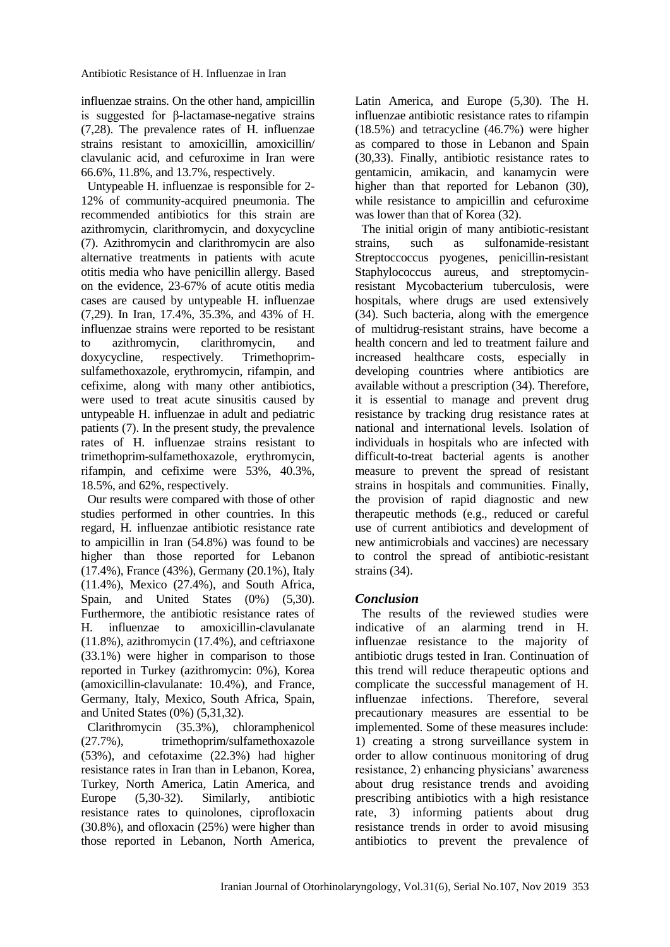influenzae strains. On the other hand, ampicillin is suggested for β-lactamase-negative strains (7,28). The prevalence rates of H. influenzae strains resistant to amoxicillin, amoxicillin/ clavulanic acid, and cefuroxime in Iran were 66.6%, 11.8%, and 13.7%, respectively.

Untypeable H. influenzae is responsible for 2- 12% of community-acquired pneumonia. The recommended antibiotics for this strain are azithromycin, clarithromycin, and doxycycline (7). Azithromycin and clarithromycin are also alternative treatments in patients with acute otitis media who have penicillin allergy. Based on the evidence, 23-67% of acute otitis media cases are caused by untypeable H. influenzae (7,29). In Iran, 17.4%, 35.3%, and 43% of H. influenzae strains were reported to be resistant to azithromycin, clarithromycin, and doxycycline, respectively. Trimethoprimsulfamethoxazole, erythromycin, rifampin, and cefixime, along with many other antibiotics, were used to treat acute sinusitis caused by untypeable H. influenzae in adult and pediatric patients (7). In the present study, the prevalence rates of H. influenzae strains resistant to trimethoprim-sulfamethoxazole, erythromycin, rifampin, and cefixime were 53%, 40.3%, 18.5%, and 62%, respectively.

Our results were compared with those of other studies performed in other countries. In this regard, H. influenzae antibiotic resistance rate to ampicillin in Iran (54.8%) was found to be higher than those reported for Lebanon (17.4%), France (43%), Germany (20.1%), Italy (11.4%), Mexico (27.4%), and South Africa, Spain, and United States (0%) (5,30). Furthermore, the antibiotic resistance rates of H. influenzae to amoxicillin-clavulanate (11.8%), azithromycin (17.4%), and ceftriaxone (33.1%) were higher in comparison to those reported in Turkey (azithromycin: 0%), Korea (amoxicillin-clavulanate: 10.4%), and France, Germany, Italy, Mexico, South Africa, Spain, and United States (0%) (5,31,32).

Clarithromycin (35.3%), chloramphenicol (27.7%), trimethoprim/sulfamethoxazole (53%), and cefotaxime (22.3%) had higher resistance rates in Iran than in Lebanon, Korea, Turkey, North America, Latin America, and Europe (5,30-32). Similarly, antibiotic resistance rates to quinolones, ciprofloxacin (30.8%), and ofloxacin (25%) were higher than those reported in Lebanon, North America, Latin America, and Europe (5,30). The H. influenzae antibiotic resistance rates to rifampin (18.5%) and tetracycline (46.7%) were higher as compared to those in Lebanon and Spain (30,33). Finally, antibiotic resistance rates to gentamicin, amikacin, and kanamycin were higher than that reported for Lebanon (30), while resistance to ampicillin and cefuroxime was lower than that of Korea (32).

The initial origin of many antibiotic-resistant strains, such as sulfonamide-resistant Streptoccoccus pyogenes, penicillin-resistant Staphylococcus aureus, and streptomycinresistant Mycobacterium tuberculosis, were hospitals, where drugs are used extensively (34). Such bacteria, along with the emergence of multidrug-resistant strains, have become a health concern and led to treatment failure and increased healthcare costs, especially in developing countries where antibiotics are available without a prescription (34). Therefore, it is essential to manage and prevent drug resistance by tracking drug resistance rates at national and international levels. Isolation of individuals in hospitals who are infected with difficult-to-treat bacterial agents is another measure to prevent the spread of resistant strains in hospitals and communities. Finally, the provision of rapid diagnostic and new therapeutic methods (e.g., reduced or careful use of current antibiotics and development of new antimicrobials and vaccines) are necessary to control the spread of antibiotic-resistant strains (34).

## *Conclusion*

The results of the reviewed studies were indicative of an alarming trend in H. influenzae resistance to the majority of antibiotic drugs tested in Iran. Continuation of this trend will reduce therapeutic options and complicate the successful management of H. influenzae infections. Therefore, several precautionary measures are essential to be implemented. Some of these measures include: 1) creating a strong surveillance system in order to allow continuous monitoring of drug resistance, 2) enhancing physicians' awareness about drug resistance trends and avoiding prescribing antibiotics with a high resistance rate, 3) informing patients about drug resistance trends in order to avoid misusing antibiotics to prevent the prevalence of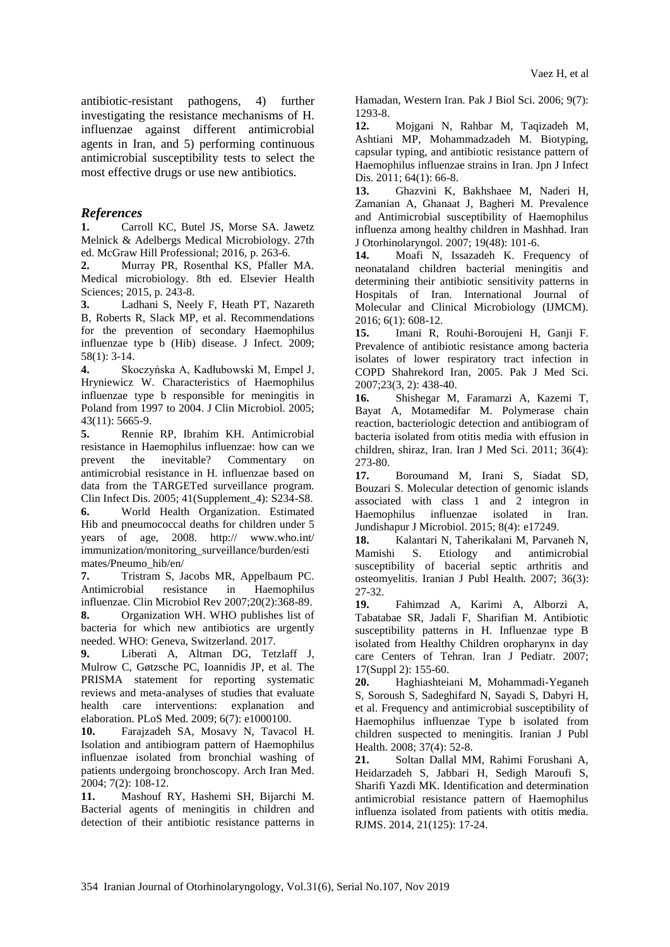antibiotic-resistant pathogens, 4) further investigating the resistance mechanisms of H. influenzae against different antimicrobial agents in Iran, and 5) performing continuous antimicrobial susceptibility tests to select the most effective drugs or use new antibiotics.

#### *References*

**1.** Carroll KC, Butel JS, Morse SA. Jawetz Melnick & Adelbergs Medical Microbiology. 27th ed. McGraw Hill Professional; 2016, p. 263-6.

**2.** Murray PR, Rosenthal KS, Pfaller MA. Medical microbiology. 8th ed. Elsevier Health Sciences; 2015, p. 243-8.

**3.** Ladhani S, Neely F, Heath PT, Nazareth B, Roberts R, Slack MP, et al. Recommendations for the prevention of secondary Haemophilus influenzae type b (Hib) disease. J Infect. 2009; 58(1): 3-14.

**4.** Skoczyńska A, Kadłubowski M, Empel J, Hryniewicz W. Characteristics of Haemophilus influenzae type b responsible for meningitis in Poland from 1997 to 2004. J Clin Microbiol. 2005; 43(11): 5665-9.

**5.** Rennie RP, Ibrahim KH. Antimicrobial resistance in Haemophilus influenzae: how can we prevent the inevitable? Commentary on antimicrobial resistance in H. influenzae based on data from the TARGETed surveillance program. Clin Infect Dis. 2005; 41(Supplement\_4): S234-S8.

**6.** World Health Organization. Estimated Hib and pneumococcal deaths for children under 5 years of age, 2008. http:// www.who.int/ immunization/monitoring\_surveillance/burden/esti mates/Pneumo\_hib/en/

**7.** Tristram S, Jacobs MR, Appelbaum PC. Antimicrobial resistance in Haemophilus influenzae. Clin Microbiol Rev 2007;20(2):368-89. **8.** Organization WH. WHO publishes list of

bacteria for which new antibiotics are urgently needed. WHO: Geneva, Switzerland. 2017.

**9.** Liberati A, Altman DG, Tetzlaff J, Mulrow C, Gøtzsche PC, Ioannidis JP, et al. The PRISMA statement for reporting systematic reviews and meta-analyses of studies that evaluate health care interventions: explanation and elaboration. PLoS Med. 2009; 6(7): e1000100.

**10.** Farajzadeh SA, Mosavy N, Tavacol H. Isolation and antibiogram pattern of Haemophilus influenzae isolated from bronchial washing of patients undergoing bronchoscopy. Arch Iran Med. 2004; 7(2): 108-12.

**11.** Mashouf RY, Hashemi SH, Bijarchi M. Bacterial agents of meningitis in children and detection of their antibiotic resistance patterns in Hamadan, Western Iran. Pak J Biol Sci. 2006; 9(7): 1293-8.

**12.** Mojgani N, Rahbar M, Taqizadeh M, Ashtiani MP, Mohammadzadeh M. Biotyping, capsular typing, and antibiotic resistance pattern of Haemophilus influenzae strains in Iran. Jpn J Infect Dis. 2011: 64(1): 66-8.

**13.** Ghazvini K, Bakhshaee M, Naderi H, Zamanian A, Ghanaat J, Bagheri M. Prevalence and Antimicrobial susceptibility of Haemophilus influenza among healthy children in Mashhad. Iran J Otorhinolaryngol. 2007; 19(48): 101-6.

**14.** Moafi N, Issazadeh K. Frequency of neonataland children bacterial meningitis and determining their antibiotic sensitivity patterns in Hospitals of Iran. International Journal of Molecular and Clinical Microbiology (IJMCM). 2016; 6(1): 608-12.

**15.** Imani R, Rouhi-Boroujeni H, Ganji F. Prevalence of antibiotic resistance among bacteria isolates of lower respiratory tract infection in COPD Shahrekord Iran, 2005. Pak J Med Sci. 2007;23(3, 2): 438-40.

**16.** Shishegar M, Faramarzi A, Kazemi T, Bayat A, Motamedifar M. Polymerase chain reaction, bacteriologic detection and antibiogram of bacteria isolated from otitis media with effusion in children, shiraz, Iran. Iran J Med Sci. 2011; 36(4): 273-80.

**17.** Boroumand M, Irani S, Siadat SD, Bouzari S. Molecular detection of genomic islands associated with class 1 and 2 integron in Haemophilus influenzae isolated in Iran. Jundishapur J Microbiol. 2015; 8(4): e17249.

**18.** Kalantari N, Taherikalani M, Parvaneh N, Mamishi S. Etiology and antimicrobial susceptibility of bacerial septic arthritis and osteomyelitis. Iranian J Publ Health. 2007; 36(3): 27-32.

**19.** Fahimzad A, Karimi A, Alborzi A, Tabatabae SR, Jadali F, Sharifian M. Antibiotic susceptibility patterns in H. Influenzae type B isolated from Healthy Children oropharynx in day care Centers of Tehran. Iran J Pediatr. 2007; 17(Suppl 2): 155-60.

**20.** Haghiashteiani M, Mohammadi-Yeganeh S, Soroush S, Sadeghifard N, Sayadi S, Dabyri H, et al. Frequency and antimicrobial susceptibility of Haemophilus influenzae Type b isolated from children suspected to meningitis. Iranian J Publ Health. 2008; 37(4): 52-8.

**21.** Soltan Dallal MM, Rahimi Forushani A, Heidarzadeh S, Jabbari H, Sedigh Maroufi S, Sharifi Yazdi MK. Identification and determination antimicrobial resistance pattern of Haemophilus influenza isolated from patients with otitis media. RJMS. 2014, 21(125): 17-24.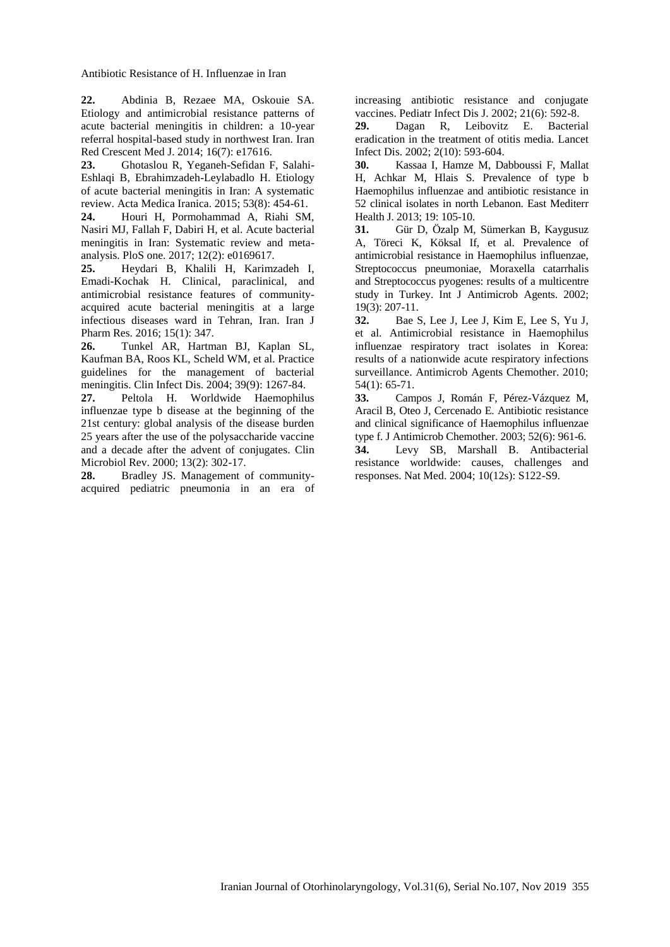Antibiotic Resistance of H. Influenzae in Iran

**22.** Abdinia B, Rezaee MA, Oskouie SA. Etiology and antimicrobial resistance patterns of acute bacterial meningitis in children: a 10-year referral hospital-based study in northwest Iran. Iran Red Crescent Med J. 2014; 16(7): e17616.

**23.** Ghotaslou R, Yeganeh-Sefidan F, Salahi-Eshlaqi B, Ebrahimzadeh-Leylabadlo H. Etiology of acute bacterial meningitis in Iran: A systematic review. Acta Medica Iranica. 2015; 53(8): 454-61.

**24.** Houri H, Pormohammad A, Riahi SM, Nasiri MJ, Fallah F, Dabiri H, et al. Acute bacterial meningitis in Iran: Systematic review and metaanalysis. PloS one. 2017; 12(2): e0169617.

**25.** Heydari B, Khalili H, Karimzadeh I, Emadi-Kochak H. Clinical, paraclinical, and antimicrobial resistance features of communityacquired acute bacterial meningitis at a large infectious diseases ward in Tehran, Iran. Iran J Pharm Res. 2016; 15(1): 347.

**26.** Tunkel AR, Hartman BJ, Kaplan SL, Kaufman BA, Roos KL, Scheld WM, et al. Practice guidelines for the management of bacterial meningitis. Clin Infect Dis. 2004; 39(9): 1267-84.

**27.** Peltola H. Worldwide Haemophilus influenzae type b disease at the beginning of the 21st century: global analysis of the disease burden 25 years after the use of the polysaccharide vaccine and a decade after the advent of conjugates. Clin Microbiol Rev. 2000; 13(2): 302-17.<br>**28.** Bradlev J.S. Management c

**28.** Bradley JS. Management of communityacquired pediatric pneumonia in an era of increasing antibiotic resistance and conjugate vaccines. Pediatr Infect Dis J. 2002; 21(6): 592-8.

**29.** Dagan R, Leibovitz E. Bacterial eradication in the treatment of otitis media. Lancet Infect Dis. 2002; 2(10): 593-604.

**30.** Kassaa I, Hamze M, Dabboussi F, Mallat H, Achkar M, Hlais S. Prevalence of type b Haemophilus influenzae and antibiotic resistance in 52 clinical isolates in north Lebanon. East Mediterr Health J. 2013; 19: 105-10.

**31.** Gür D, Özalp M, Sümerkan B, Kaygusuz A, Töreci K, Köksal If, et al. Prevalence of antimicrobial resistance in Haemophilus influenzae, Streptococcus pneumoniae, Moraxella catarrhalis and Streptococcus pyogenes: results of a multicentre study in Turkey. Int J Antimicrob Agents. 2002; 19(3): 207-11.

**32.** Bae S, Lee J, Lee J, Kim E, Lee S, Yu J, et al. Antimicrobial resistance in Haemophilus influenzae respiratory tract isolates in Korea: results of a nationwide acute respiratory infections surveillance. Antimicrob Agents Chemother. 2010; 54(1): 65-71.

**33.** Campos J, Román F, Pérez-Vázquez M, Aracil B, Oteo J, Cercenado E. Antibiotic resistance and clinical significance of Haemophilus influenzae type f. J Antimicrob Chemother. 2003; 52(6): 961-6. **34.** Levy SB, Marshall B. Antibacterial resistance worldwide: causes, challenges and

responses. Nat Med. 2004; 10(12s): S122-S9.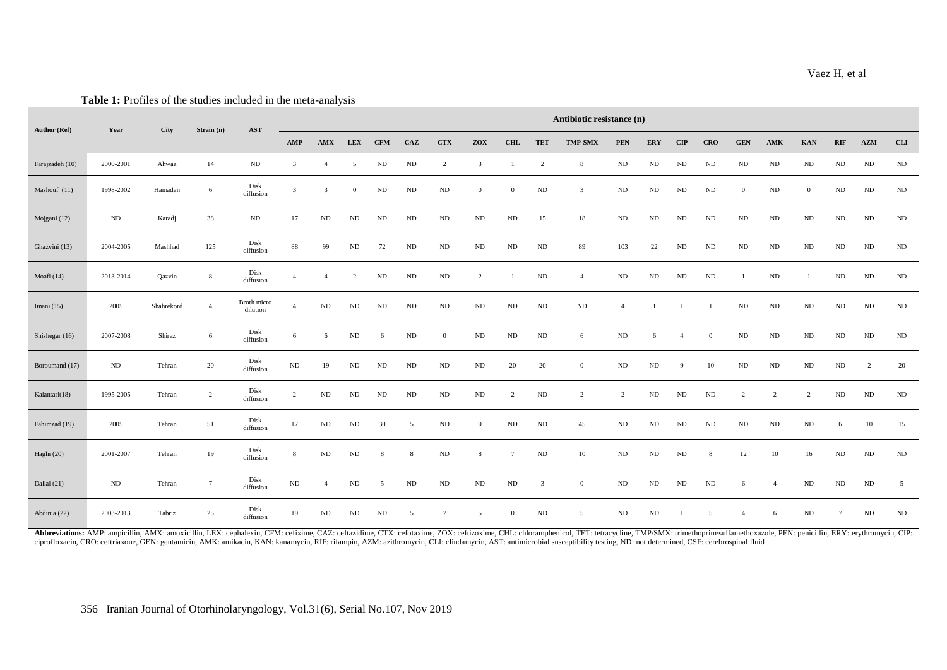| <b>Author (Ref)</b> | <b>THERE</b> If I FOLLOW OF the studies included in the filem and yous<br>Year | City       | Strain (n)      | <b>AST</b>                                                     | Antibiotic resistance (n) |                |                |            |          |                 |                |                |                |                  |                |            |                |            |                |                |                |                 |                |          |
|---------------------|--------------------------------------------------------------------------------|------------|-----------------|----------------------------------------------------------------|---------------------------|----------------|----------------|------------|----------|-----------------|----------------|----------------|----------------|------------------|----------------|------------|----------------|------------|----------------|----------------|----------------|-----------------|----------------|----------|
|                     |                                                                                |            |                 |                                                                | AMP                       | AMX            | <b>LEX</b>     | <b>CFM</b> | CAZ      | <b>CTX</b>      | ZOX            | <b>CHL</b>     | <b>TET</b>     | <b>TMP-SMX</b>   | <b>PEN</b>     | <b>ERY</b> | $\mathbf{CIP}$ | <b>CRO</b> | <b>GEN</b>     | AMK            | <b>KAN</b>     | RIF             | AZM            | CLI      |
| Farajzadeh (10)     | 2000-2001                                                                      | Ahwaz      | 14              | ND                                                             | 3                         | $\overline{4}$ | 5              | $\rm ND$   | $\rm ND$ | $\overline{c}$  | $\mathbf{3}$   | - 1            | $\overline{c}$ | 8                | $\rm ND$       | $\rm ND$   | ${\rm ND}$     | ND         | ND             | $\rm ND$       | $\rm ND$       | $\rm ND$        | $\rm ND$       | $\rm ND$ |
| Mashouf (11)        | 1998-2002                                                                      | Hamadan    | 6               | Disk<br>diffusion                                              | $\mathfrak{Z}$            | 3              | $\overline{0}$ | $\rm ND$   | $\rm ND$ | $\rm ND$        | $\mathbf{0}$   | $\overline{0}$ | $\rm ND$       | $\overline{3}$   | $\rm ND$       | $\rm ND$   | ND             | ND         | $\overline{0}$ | $\rm ND$       | $\overline{0}$ | $\rm ND$        | ND             | $\rm ND$ |
| Mojgani (12)        | ND                                                                             | Karadj     | 38              | $\rm ND$                                                       | 17                        | $\rm ND$       | ${\rm ND}$     | $\rm ND$   | $\rm ND$ | $\rm ND$        | $\rm ND$       | $\rm ND$       | 15             | 18               | $\rm ND$       | $\rm ND$   | ND             | ND         | ${\rm ND}$     | ND             | $\rm ND$       | $\rm ND$        | ${\rm ND}$     | $\rm ND$ |
| Ghazvini (13)       | 2004-2005                                                                      | Mashhad    | 125             | Disk<br>diffusion                                              | 88                        | 99             | ND             | 72         | $\rm ND$ | $\rm ND$        | $\rm ND$       | $\rm ND$       | $\rm ND$       | 89               | 103            | 22         | ${\rm ND}$     | ND         | $\rm ND$       | $\rm ND$       | $\rm ND$       | $\rm ND$        | $\rm ND$       | $\rm ND$ |
| Moafi (14)          | 2013-2014                                                                      | Qazvin     | 8               | $\begin{array}{c} \text{Disk} \\ \text{diffusion} \end{array}$ | $\overline{4}$            | $\overline{4}$ | $\overline{c}$ | $\rm ND$   | $\rm ND$ | $\rm ND$        | $\overline{c}$ |                | $\rm ND$       | $\overline{4}$   | $\rm ND$       | $\rm ND$   | ND             | ND         |                | $\rm ND$       |                | $\rm ND$        | $\rm ND$       | $\rm ND$ |
| Imani $(15)$        | 2005                                                                           | Shahrekord | $\overline{4}$  | Broth micro<br>dilution                                        | $\overline{4}$            | $\rm ND$       | ND             | ND         | $\rm ND$ | $\rm ND$        | $\rm ND$       | ${\rm ND}$     | $\rm ND$       | $\rm ND$         | $\overline{4}$ | -1         | $\mathbf{1}$   |            | ND             | ND             | ${\rm ND}$     | $\rm ND$        | $\rm ND$       | $\rm ND$ |
| Shishegar (16)      | 2007-2008                                                                      | Shiraz     | 6               | Disk<br>diffusion                                              | 6                         | 6              | ND             | 6          | $\rm ND$ | $\overline{0}$  | $\rm ND$       | $\rm ND$       | $\rm ND$       | 6                | $\rm ND$       | 6          | $\overline{4}$ | $\theta$   | $\rm ND$       | $\rm ND$       | ${\rm ND}$     | $\rm ND$        | $\rm ND$       | $\rm ND$ |
| Boroumand (17)      | ND                                                                             | Tehran     | 20              | Disk<br>diffusion                                              | $\rm ND$                  | 19             | ND             | $\rm ND$   | $\rm ND$ | $\rm ND$        | $\rm ND$       | $20\,$         | $20\,$         | $\boldsymbol{0}$ | $\rm ND$       | $\rm ND$   | 9              | 10         | $\rm ND$       | $\rm ND$       | $\rm ND$       | $\rm ND$        | $\overline{c}$ | 20       |
| Kalantari(18)       | 1995-2005                                                                      | Tehran     | $\overline{c}$  | Disk<br>diffusion                                              | $\overline{2}$            | $\rm ND$       | $\rm ND$       | $\rm ND$   | $\rm ND$ | $\rm ND$        | $\rm ND$       | 2              | $\rm ND$       | 2                | 2              | $\rm ND$   | ND             | $\rm ND$   | $\overline{2}$ | $\overline{2}$ | $\overline{2}$ | $\rm ND$        | $\rm ND$       | $\rm ND$ |
| Fahimzad (19)       | 2005                                                                           | Tehran     | 51              | $\begin{array}{c} \text{Disk} \\ \text{diffusion} \end{array}$ | 17                        | $\rm ND$       | ND             | 30         | 5        | $\rm ND$        | 9              | $\rm ND$       | $\rm ND$       | 45               | $\rm ND$       | $\rm ND$   | ND             | ND         | $\rm ND$       | $\rm ND$       | ${\rm ND}$     | 6               | 10             | 15       |
| Haghi (20)          | 2001-2007                                                                      | Tehran     | 19              | Disk<br>diffusion                                              | 8                         | $\rm ND$       | ND             | 8          | 8        | $\rm ND$        | 8              | -7             | $\rm ND$       | 10               | $\rm ND$       | $\rm ND$   | ND             | 8          | 12             | 10             | 16             | $\rm ND$        | $\rm ND$       | $\rm ND$ |
| Dallal (21)         | $\rm ND$                                                                       | Tehran     | $7\phantom{.0}$ | Disk<br>diffusion                                              | $\rm ND$                  | $\overline{4}$ | ND             | 5          | $\rm ND$ | $\rm ND$        | $\rm ND$       | $\rm ND$       | 3              | $\boldsymbol{0}$ | $\rm ND$       | $\rm ND$   | ND             | ND         | 6              |                | ${\rm ND}$     | $\rm ND$        | $\rm ND$       | 5        |
| Abdinia (22)        | 2003-2013                                                                      | Tabriz     | 25              | Disk<br>diffusion                                              | 19                        | $\rm ND$       | $\rm ND$       | $\rm ND$   | 5        | $7\phantom{.0}$ | 5              | $\overline{0}$ | $\rm ND$       | 5                | $\rm ND$       | $\rm ND$   |                | 5          | $\overline{4}$ | 6              | $\rm ND$       | $7\overline{ }$ | $\rm ND$       | $\rm ND$ |

Abbreviations: AMP: ampicillin, AMX: amoxicillin, LEX: cephalexin, CFM: cefixime, CAZ: ceftazidime, CTX: cefotaxime, ZOX: ceftizoxime, CHL: chloramphenicol, TET: tetracycline, TMP/SMX: trimethoprim/sulfamethoxazole, PEN: p ciprofloxacin, CRO: ceftriaxone, GEN: gentamicin, AMK: amikacin, KAN: kanamycin, RIF: rifampin, AZM: azithromycin, CLI: clindamycin, AST: antimicrobial susceptibility testing, ND: not determined, CSF: cerebrospinal fluid